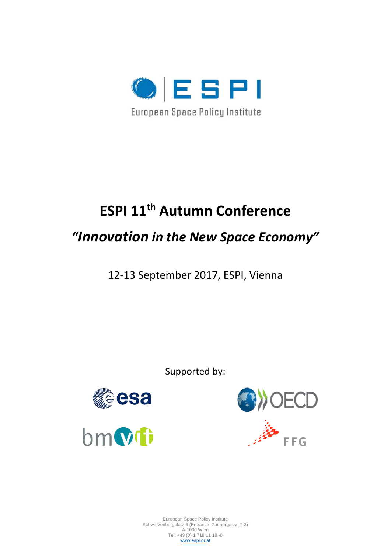

# **ESPI 11th Autumn Conference**

## *"Innovation in the New Space Economy"*

12-13 September 2017, ESPI, Vienna

Supported by:





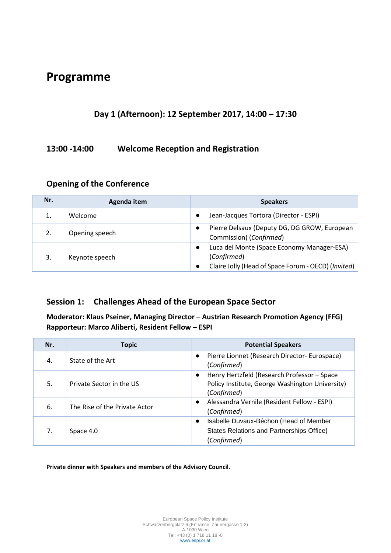## **Programme**

## **Day 1 (Afternoon): 12 September 2017, 14:00 – 17:30**

### **13:00 -14:00 Welcome Reception and Registration**

| Nr. | Agenda item    | <b>Speakers</b>                                                                                                  |
|-----|----------------|------------------------------------------------------------------------------------------------------------------|
|     | Welcome        | Jean-Jacques Tortora (Director - ESPI)                                                                           |
| 2.  | Opening speech | Pierre Delsaux (Deputy DG, DG GROW, European<br>Commission) (Confirmed)                                          |
| 3.  | Keynote speech | Luca del Monte (Space Economy Manager-ESA)<br>(Confirmed)<br>Claire Jolly (Head of Space Forum - OECD) (Invited) |

#### **Opening of the Conference**

### **Session 1: Challenges Ahead of the European Space Sector**

**Moderator: Klaus Pseiner, Managing Director – Austrian Research Promotion Agency (FFG) Rapporteur: Marco Aliberti, Resident Fellow – ESPI**

| Nr. | <b>Topic</b>                  | <b>Potential Speakers</b>                                                                                                  |
|-----|-------------------------------|----------------------------------------------------------------------------------------------------------------------------|
| 4.  | State of the Art              | Pierre Lionnet (Research Director- Eurospace)<br>$\bullet$<br>(Confirmed)                                                  |
| 5.  | Private Sector in the US      | Henry Hertzfeld (Research Professor - Space<br>$\bullet$<br>Policy Institute, George Washington University)<br>(Confirmed) |
| 6.  | The Rise of the Private Actor | Alessandra Vernile (Resident Fellow - ESPI)<br>$\bullet$<br>(Confirmed)                                                    |
| 7.  | Space 4.0                     | Isabelle Duvaux-Béchon (Head of Member<br>$\bullet$<br>States Relations and Partnerships Office)<br>(Confirmed)            |

**Private dinner with Speakers and members of the Advisory Council.**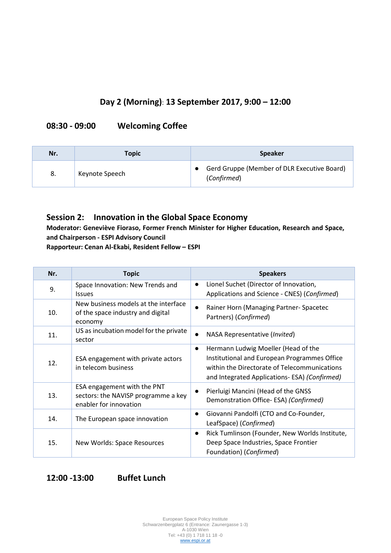## **Day 2 (Morning)**: **13 September 2017, 9:00 – 12:00**

### **08:30 - 09:00 Welcoming Coffee**

| Nr. | Topic          | <b>Speaker</b>                                             |
|-----|----------------|------------------------------------------------------------|
| -8. | Keynote Speech | Gerd Gruppe (Member of DLR Executive Board)<br>(Confirmed) |

#### **Session 2: Innovation in the Global Space Economy**

**Moderator: Geneviève Fioraso, Former French Minister for Higher Education, Research and Space, and Chairperson - ESPI Advisory Council**

**Rapporteur: Cenan Al-Ekabi, Resident Fellow – ESPI**

| Nr. | <b>Topic</b>                                                                                 | <b>Speakers</b>                                                                                                                                                                                   |
|-----|----------------------------------------------------------------------------------------------|---------------------------------------------------------------------------------------------------------------------------------------------------------------------------------------------------|
| 9.  | Space Innovation: New Trends and<br><b>Issues</b>                                            | Lionel Suchet (Director of Innovation,<br>$\bullet$<br>Applications and Science - CNES) (Confirmed)                                                                                               |
| 10. | New business models at the interface<br>of the space industry and digital<br>economy         | Rainer Horn (Managing Partner-Spacetec<br>$\bullet$<br>Partners) (Confirmed)                                                                                                                      |
| 11. | US as incubation model for the private<br>sector                                             | NASA Representative (Invited)<br>$\bullet$                                                                                                                                                        |
| 12. | ESA engagement with private actors<br>in telecom business                                    | Hermann Ludwig Moeller (Head of the<br>$\bullet$<br>Institutional and European Programmes Office<br>within the Directorate of Telecommunications<br>and Integrated Applications- ESA) (Confirmed) |
| 13. | ESA engagement with the PNT<br>sectors: the NAVISP programme a key<br>enabler for innovation | Pierluigi Mancini (Head of the GNSS<br>Demonstration Office-ESA) (Confirmed)                                                                                                                      |
| 14. | The European space innovation                                                                | Giovanni Pandolfi (CTO and Co-Founder,<br>$\bullet$<br>LeafSpace) (Confirmed)                                                                                                                     |
| 15. | New Worlds: Space Resources                                                                  | Rick Tumlinson (Founder, New Worlds Institute,<br>$\bullet$<br>Deep Space Industries, Space Frontier<br>Foundation) (Confirmed)                                                                   |

**12:00 -13:00 Buffet Lunch**